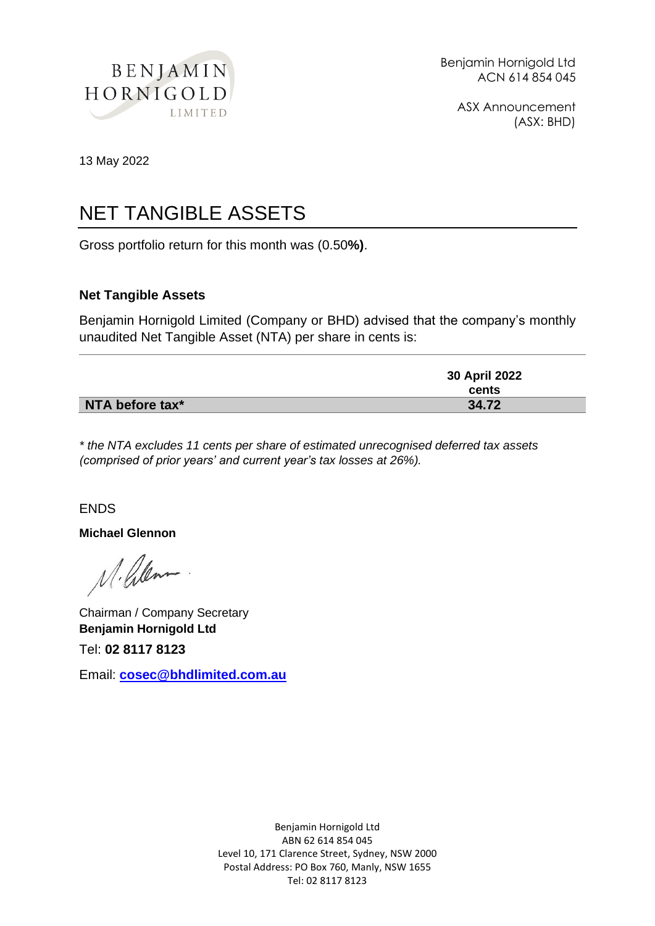

ASX Announcement (ASX: BHD)

13 May 2022

### NET TANGIBLE ASSETS

Gross portfolio return for this month was (0.50**%)**.

#### **Net Tangible Assets**

Benjamin Hornigold Limited (Company or BHD) advised that the company's monthly unaudited Net Tangible Asset (NTA) per share in cents is:

|                 | 30 April 2022 |
|-----------------|---------------|
|                 | cents         |
| NTA before tax* | 34.72         |

*\* the NTA excludes 11 cents per share of estimated unrecognised deferred tax assets (comprised of prior years' and current year's tax losses at 26%).*

#### ENDS

**Michael Glennon**

M. Pilem

Chairman / Company Secretary **Benjamin Hornigold Ltd**

Tel: **02 8117 8123**

Email: **[cosec@bhdlimited.com.au](mailto:cosec@bhdlimited.com.au)**

Benjamin Hornigold Ltd ABN 62 614 854 045 Level 10, 171 Clarence Street, Sydney, NSW 2000 Postal Address: PO Box 760, Manly, NSW 1655 Tel: 02 8117 8123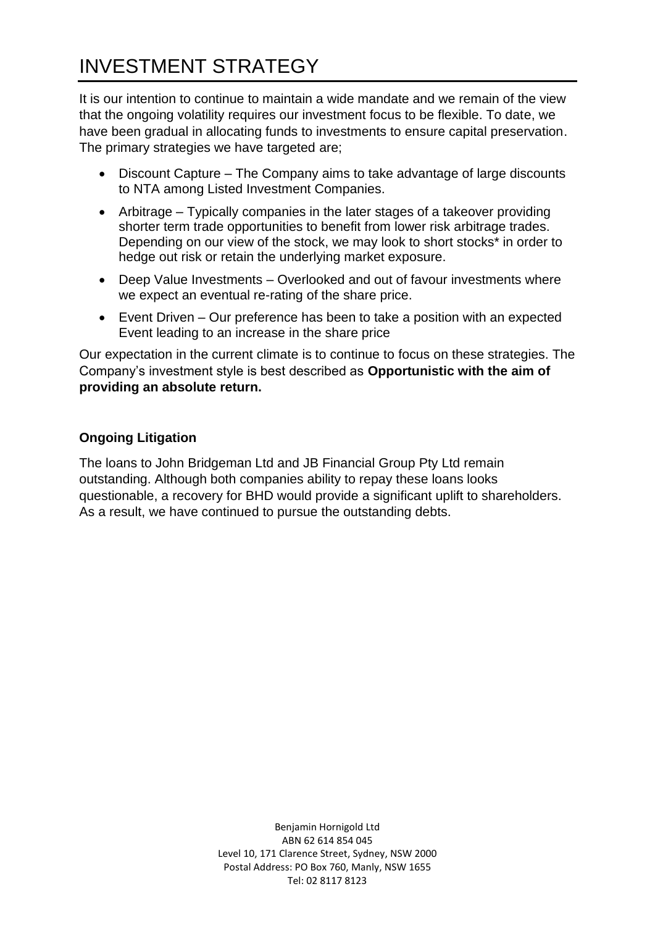# INVESTMENT STRATEGY

It is our intention to continue to maintain a wide mandate and we remain of the view that the ongoing volatility requires our investment focus to be flexible. To date, we have been gradual in allocating funds to investments to ensure capital preservation. The primary strategies we have targeted are;

- Discount Capture The Company aims to take advantage of large discounts to NTA among Listed Investment Companies.
- Arbitrage Typically companies in the later stages of a takeover providing shorter term trade opportunities to benefit from lower risk arbitrage trades. Depending on our view of the stock, we may look to short stocks\* in order to hedge out risk or retain the underlying market exposure.
- Deep Value Investments Overlooked and out of favour investments where we expect an eventual re-rating of the share price.
- Event Driven Our preference has been to take a position with an expected Event leading to an increase in the share price

Our expectation in the current climate is to continue to focus on these strategies. The Company's investment style is best described as **Opportunistic with the aim of providing an absolute return.**

### **Ongoing Litigation**

The loans to John Bridgeman Ltd and JB Financial Group Pty Ltd remain outstanding. Although both companies ability to repay these loans looks questionable, a recovery for BHD would provide a significant uplift to shareholders. As a result, we have continued to pursue the outstanding debts.

> Benjamin Hornigold Ltd ABN 62 614 854 045 Level 10, 171 Clarence Street, Sydney, NSW 2000 Postal Address: PO Box 760, Manly, NSW 1655 Tel: 02 8117 8123